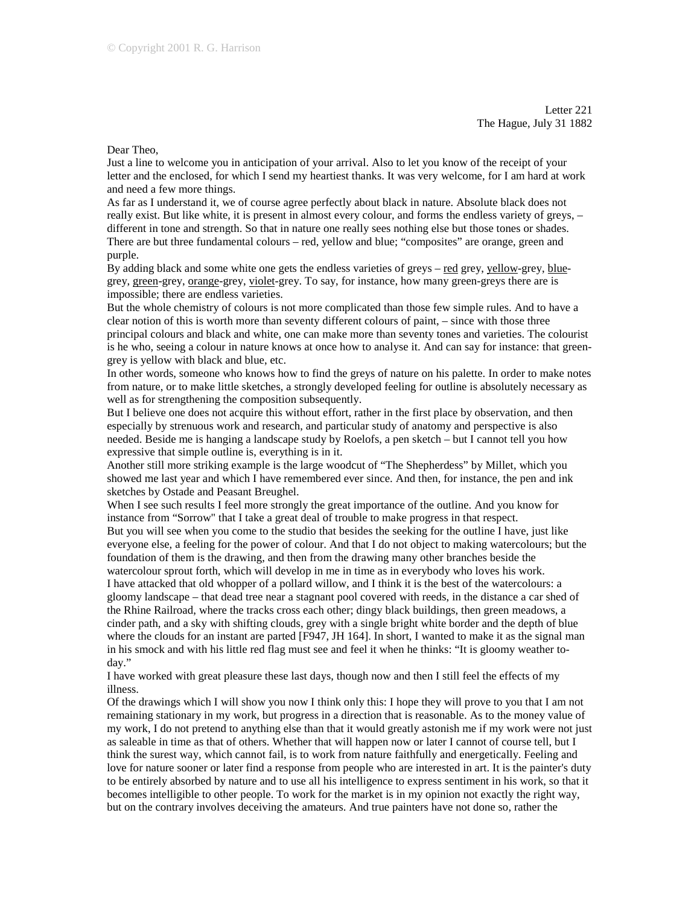Letter 221 The Hague, July 31 1882

Dear Theo,

Just a line to welcome you in anticipation of your arrival. Also to let you know of the receipt of your letter and the enclosed, for which I send my heartiest thanks. It was very welcome, for I am hard at work and need a few more things.

As far as I understand it, we of course agree perfectly about black in nature. Absolute black does not really exist. But like white, it is present in almost every colour, and forms the endless variety of greys, – different in tone and strength. So that in nature one really sees nothing else but those tones or shades. There are but three fundamental colours – red, yellow and blue; "composites" are orange, green and purple.

By adding black and some white one gets the endless varieties of greys – red grey, yellow-grey, bluegrey, green-grey, orange-grey, violet-grey. To say, for instance, how many green-greys there are is impossible; there are endless varieties.

But the whole chemistry of colours is not more complicated than those few simple rules. And to have a clear notion of this is worth more than seventy different colours of paint, – since with those three principal colours and black and white, one can make more than seventy tones and varieties. The colourist is he who, seeing a colour in nature knows at once how to analyse it. And can say for instance: that greengrey is yellow with black and blue, etc.

In other words, someone who knows how to find the greys of nature on his palette. In order to make notes from nature, or to make little sketches, a strongly developed feeling for outline is absolutely necessary as well as for strengthening the composition subsequently.

But I believe one does not acquire this without effort, rather in the first place by observation, and then especially by strenuous work and research, and particular study of anatomy and perspective is also needed. Beside me is hanging a landscape study by Roelofs, a pen sketch – but I cannot tell you how expressive that simple outline is, everything is in it.

Another still more striking example is the large woodcut of "The Shepherdess" by Millet, which you showed me last year and which I have remembered ever since. And then, for instance, the pen and ink sketches by Ostade and Peasant Breughel.

When I see such results I feel more strongly the great importance of the outline. And you know for instance from "Sorrow" that I take a great deal of trouble to make progress in that respect.

But you will see when you come to the studio that besides the seeking for the outline I have, just like everyone else, a feeling for the power of colour. And that I do not object to making watercolours; but the foundation of them is the drawing, and then from the drawing many other branches beside the watercolour sprout forth, which will develop in me in time as in everybody who loves his work.

I have attacked that old whopper of a pollard willow, and I think it is the best of the watercolours: a gloomy landscape – that dead tree near a stagnant pool covered with reeds, in the distance a car shed of the Rhine Railroad, where the tracks cross each other; dingy black buildings, then green meadows, a cinder path, and a sky with shifting clouds, grey with a single bright white border and the depth of blue where the clouds for an instant are parted [F947, JH 164]. In short, I wanted to make it as the signal man in his smock and with his little red flag must see and feel it when he thinks: "It is gloomy weather today."

I have worked with great pleasure these last days, though now and then I still feel the effects of my illness.

Of the drawings which I will show you now I think only this: I hope they will prove to you that I am not remaining stationary in my work, but progress in a direction that is reasonable. As to the money value of my work, I do not pretend to anything else than that it would greatly astonish me if my work were not just as saleable in time as that of others. Whether that will happen now or later I cannot of course tell, but I think the surest way, which cannot fail, is to work from nature faithfully and energetically. Feeling and love for nature sooner or later find a response from people who are interested in art. It is the painter's duty to be entirely absorbed by nature and to use all his intelligence to express sentiment in his work, so that it becomes intelligible to other people. To work for the market is in my opinion not exactly the right way, but on the contrary involves deceiving the amateurs. And true painters have not done so, rather the